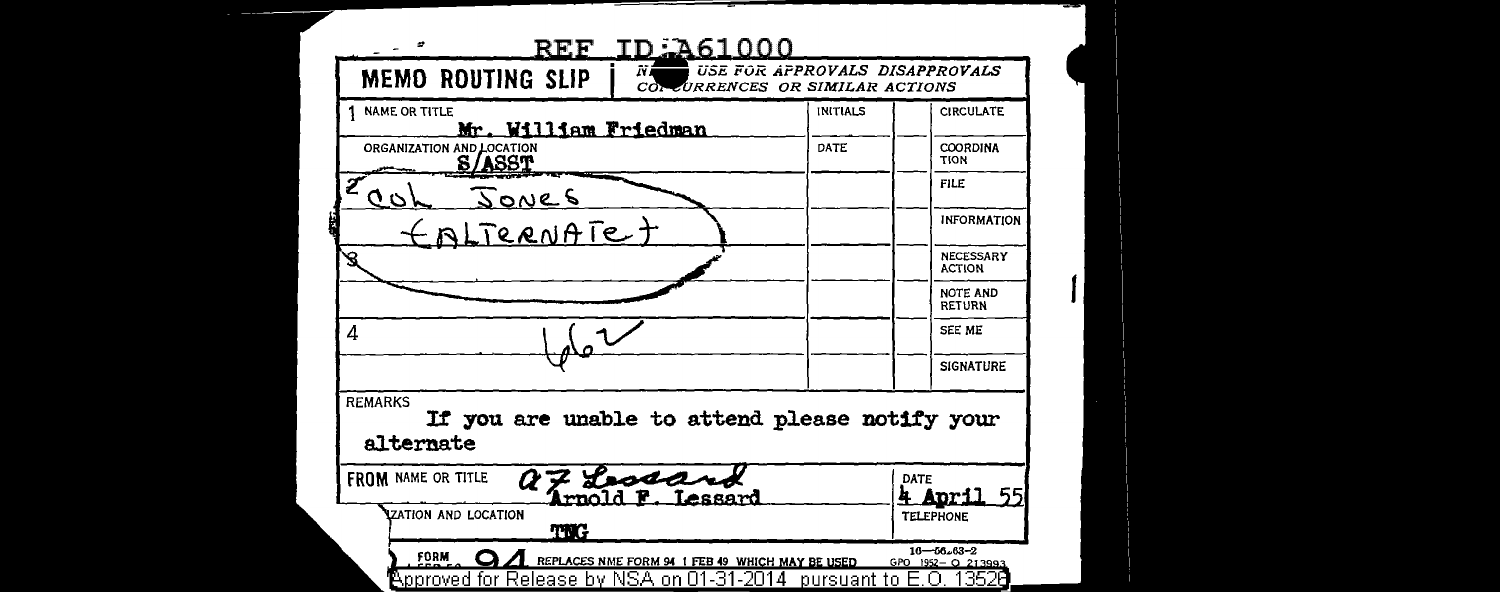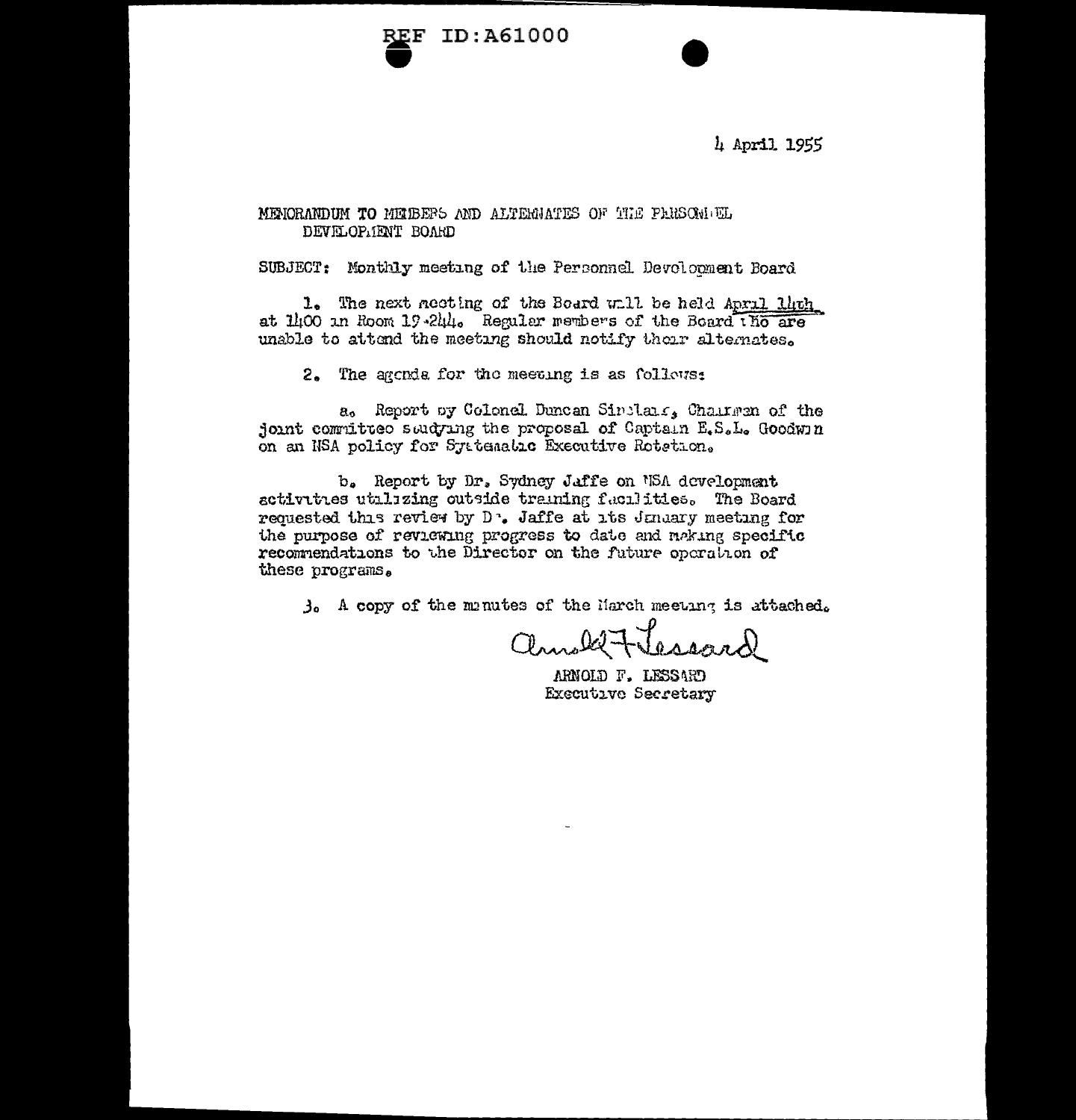

4 April 1955

## MENORANDUM TO MEIBERS AND ALTERNATES OF THE PARSON EL DEVELOP. IENT BOARD

SUBJECT: Monthly meeting of the Personnel Devolocment Board

1. The next neeting of the Board will be held April lhth at 1400 in Room 19-244. Regular members of the Board tho are unable to attend the meeting should notify their alternates.

2. The agenda for the meeting is as follows:

a. Report by Colonel Duncan Sinclair, Chairman of the joint committee suidying the proposal of Captain E.S.L. Goodwin on an NSA policy for Systematic Executive Rotetion.

b. Report by Dr. Sydney Jaffe on NSA development activities utilizing outside training facilities. The Board requested this review by D<sup>1</sup>. Jaffe at its Juniary meeting for the purpose of reviewing progress to date and making specific recommendations to the Director on the future operation of these programs.

3. A copy of the manutes of the March meeting is attached.

annale Flessand

ARNOLD F. LESSARD Executive Secretary